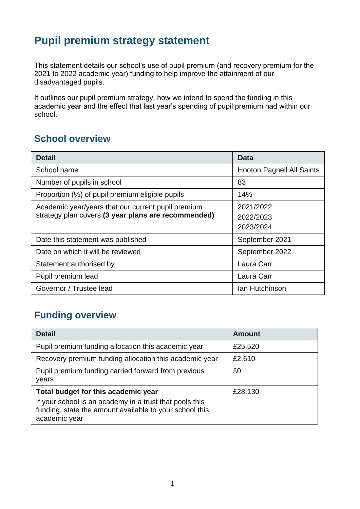## **Pupil premium strategy statement**

This statement details our school's use of pupil premium (and recovery premium for the 2021 to 2022 academic year) funding to help improve the attainment of our disadvantaged pupils.

It outlines our pupil premium strategy, how we intend to spend the funding in this academic year and the effect that last year's spending of pupil premium had within our school.

### **School overview**

| <b>Detail</b>                                       | Data                             |
|-----------------------------------------------------|----------------------------------|
| School name                                         | <b>Hooton Pagnell All Saints</b> |
| Number of pupils in school                          | 83                               |
| Proportion (%) of pupil premium eligible pupils     | 14%                              |
| Academic year/years that our current pupil premium  | 2021/2022                        |
| strategy plan covers (3 year plans are recommended) | 2022/2023                        |
|                                                     | 2023/2024                        |
| Date this statement was published                   | September 2021                   |
| Date on which it will be reviewed                   | September 2022                   |
| Statement authorised by                             | Laura Carr                       |
| Pupil premium lead                                  | Laura Carr                       |
| Governor / Trustee lead                             | Ian Hutchinson                   |

## **Funding overview**

| <b>Detail</b>                                                                                                                                                              | <b>Amount</b> |
|----------------------------------------------------------------------------------------------------------------------------------------------------------------------------|---------------|
| Pupil premium funding allocation this academic year                                                                                                                        | £25,520       |
| Recovery premium funding allocation this academic year                                                                                                                     | £2,610        |
| Pupil premium funding carried forward from previous<br>years                                                                                                               | £0            |
| Total budget for this academic year<br>If your school is an academy in a trust that pools this<br>funding, state the amount available to your school this<br>academic year | £28,130       |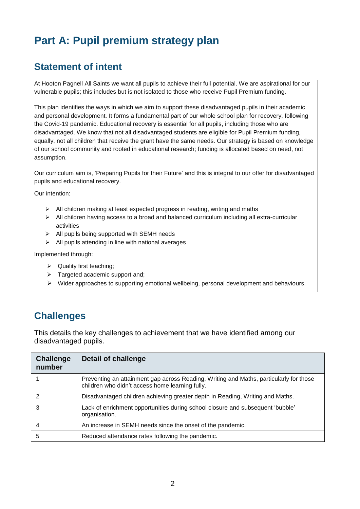# **Part A: Pupil premium strategy plan**

## **Statement of intent**

At Hooton Pagnell All Saints we want all pupils to achieve their full potential. We are aspirational for our vulnerable pupils; this includes but is not isolated to those who receive Pupil Premium funding.

This plan identifies the ways in which we aim to support these disadvantaged pupils in their academic and personal development. It forms a fundamental part of our whole school plan for recovery, following the Covid-19 pandemic. Educational recovery is essential for all pupils, including those who are disadvantaged. We know that not all disadvantaged students are eligible for Pupil Premium funding, equally, not all children that receive the grant have the same needs. Our strategy is based on knowledge of our school community and rooted in educational research; funding is allocated based on need, not assumption.

Our curriculum aim is, 'Preparing Pupils for their Future' and this is integral to our offer for disadvantaged pupils and educational recovery.

Our intention:

- $\triangleright$  All children making at least expected progress in reading, writing and maths
- $\triangleright$  All children having access to a broad and balanced curriculum including all extra-curricular activities
- $\triangleright$  All pupils being supported with SEMH needs
- $\triangleright$  All pupils attending in line with national averages

Implemented through:

- $\triangleright$  Quality first teaching;
- $\triangleright$  Targeted academic support and;
- $\triangleright$  Wider approaches to supporting emotional wellbeing, personal development and behaviours.

## **Challenges**

This details the key challenges to achievement that we have identified among our disadvantaged pupils.

| <b>Challenge</b><br>number | Detail of challenge                                                                                                                       |
|----------------------------|-------------------------------------------------------------------------------------------------------------------------------------------|
|                            | Preventing an attainment gap across Reading, Writing and Maths, particularly for those<br>children who didn't access home learning fully. |
| 2                          | Disadvantaged children achieving greater depth in Reading, Writing and Maths.                                                             |
| 3                          | Lack of enrichment opportunities during school closure and subsequent 'bubble'<br>organisation.                                           |
| 4                          | An increase in SEMH needs since the onset of the pandemic.                                                                                |
| 5                          | Reduced attendance rates following the pandemic.                                                                                          |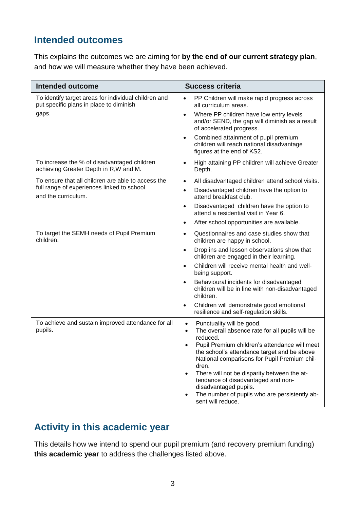### **Intended outcomes**

This explains the outcomes we are aiming for **by the end of our current strategy plan**, and how we will measure whether they have been achieved.

| <b>Intended outcome</b>                                                                         | <b>Success criteria</b>                                                                                                                                                                                                                                                                                                                                                                                                                                                           |
|-------------------------------------------------------------------------------------------------|-----------------------------------------------------------------------------------------------------------------------------------------------------------------------------------------------------------------------------------------------------------------------------------------------------------------------------------------------------------------------------------------------------------------------------------------------------------------------------------|
| To identify target areas for individual children and<br>put specific plans in place to diminish | PP Children will make rapid progress across<br>$\bullet$<br>all curriculum areas.                                                                                                                                                                                                                                                                                                                                                                                                 |
| gaps.                                                                                           | Where PP children have low entry levels<br>$\bullet$<br>and/or SEND, the gap will diminish as a result<br>of accelerated progress.                                                                                                                                                                                                                                                                                                                                                |
|                                                                                                 | Combined attainment of pupil premium<br>$\bullet$<br>children will reach national disadvantage<br>figures at the end of KS2.                                                                                                                                                                                                                                                                                                                                                      |
| To increase the % of disadvantaged children<br>achieving Greater Depth in R, W and M.           | High attaining PP children will achieve Greater<br>$\bullet$<br>Depth.                                                                                                                                                                                                                                                                                                                                                                                                            |
| To ensure that all children are able to access the                                              | All disadvantaged children attend school visits.<br>$\bullet$                                                                                                                                                                                                                                                                                                                                                                                                                     |
| full range of experiences linked to school<br>and the curriculum.                               | Disadvantaged children have the option to<br>$\bullet$<br>attend breakfast club.                                                                                                                                                                                                                                                                                                                                                                                                  |
|                                                                                                 | Disadvantaged children have the option to<br>$\bullet$<br>attend a residential visit in Year 6.                                                                                                                                                                                                                                                                                                                                                                                   |
|                                                                                                 | After school opportunities are available.<br>$\bullet$                                                                                                                                                                                                                                                                                                                                                                                                                            |
| To target the SEMH needs of Pupil Premium<br>children.                                          | Questionnaires and case studies show that<br>$\bullet$<br>children are happy in school.                                                                                                                                                                                                                                                                                                                                                                                           |
|                                                                                                 | Drop ins and lesson observations show that<br>$\bullet$<br>children are engaged in their learning.                                                                                                                                                                                                                                                                                                                                                                                |
|                                                                                                 | Children will receive mental health and well-<br>$\bullet$<br>being support.                                                                                                                                                                                                                                                                                                                                                                                                      |
|                                                                                                 | Behavioural incidents for disadvantaged<br>$\bullet$<br>children will be in line with non-disadvantaged<br>children.                                                                                                                                                                                                                                                                                                                                                              |
|                                                                                                 | Children will demonstrate good emotional<br>$\bullet$<br>resilience and self-regulation skills.                                                                                                                                                                                                                                                                                                                                                                                   |
| To achieve and sustain improved attendance for all<br>pupils.                                   | Punctuality will be good.<br>$\bullet$<br>The overall absence rate for all pupils will be<br>$\bullet$<br>reduced.<br>Pupil Premium children's attendance will meet<br>the school's attendance target and be above<br>National comparisons for Pupil Premium chil-<br>dren.<br>There will not be disparity between the at-<br>$\bullet$<br>tendance of disadvantaged and non-<br>disadvantaged pupils.<br>The number of pupils who are persistently ab-<br>٠<br>sent will reduce. |

## **Activity in this academic year**

This details how we intend to spend our pupil premium (and recovery premium funding) **this academic year** to address the challenges listed above.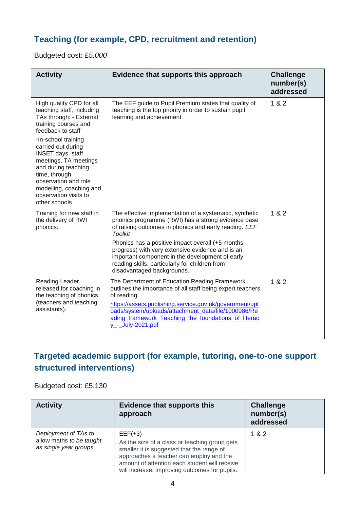#### **Teaching (for example, CPD, recruitment and retention)**

Budgeted cost: £*5,000*

| <b>Activity</b>                                                                                                                                                                                                                     | Evidence that supports this approach                                                                                                                                                                                                                                                                                     | <b>Challenge</b><br>number(s)<br>addressed |
|-------------------------------------------------------------------------------------------------------------------------------------------------------------------------------------------------------------------------------------|--------------------------------------------------------------------------------------------------------------------------------------------------------------------------------------------------------------------------------------------------------------------------------------------------------------------------|--------------------------------------------|
| High quality CPD for all<br>teaching staff, including<br>TAs through: - External<br>training courses and<br>feedback to staff                                                                                                       | The EEF guide to Pupil Premium states that quality of<br>teaching is the top priority in order to sustain pupil<br>learning and achievement                                                                                                                                                                              | 1 & 2                                      |
| -In-school training<br>carried out during<br><b>INSET days, staff</b><br>meetings, TA meetings<br>and during teaching<br>time, through<br>observation and role<br>modelling, coaching and<br>observation visits to<br>other schools |                                                                                                                                                                                                                                                                                                                          |                                            |
| Training for new staff in<br>the delivery of RWI<br>phonics.                                                                                                                                                                        | The effective implementation of a systematic, synthetic<br>phonics programme (RWI) has a strong evidence base<br>of raising outcomes in phonics and early reading. EEF<br><b>Toolkit</b>                                                                                                                                 | 1 & 2                                      |
|                                                                                                                                                                                                                                     | Phonics has a positive impact overall (+5 months<br>progress) with very extensive evidence and is an<br>important component in the development of early<br>reading skills, particularly for children from<br>disadvantaged backgrounds.                                                                                  |                                            |
| Reading Leader<br>released for coaching in<br>the teaching of phonics<br>(teachers and teaching<br>assistants).                                                                                                                     | The Department of Education Reading Framework<br>outlines the importance of all staff being expert teachers<br>of reading.<br>https://assets.publishing.service.gov.uk/government/upl<br>oads/system/uploads/attachment_data/file/1000986/Re<br>ading framework Teaching the foundations of literac<br>y_-_July-2021.pdf | 182                                        |

### **Targeted academic support (for example, tutoring, one-to-one support structured interventions)**

Budgeted cost: £5,130

| <b>Activity</b>                                                            | <b>Evidence that supports this</b><br>approach                                                                                                                                                                                                       | <b>Challenge</b><br>number(s)<br>addressed |
|----------------------------------------------------------------------------|------------------------------------------------------------------------------------------------------------------------------------------------------------------------------------------------------------------------------------------------------|--------------------------------------------|
| Deployment of TAs to<br>allow maths to be taught<br>as single year groups. | $EEF(+3)$<br>As the size of a class or teaching group gets<br>smaller it is suggested that the range of<br>approaches a teacher can employ and the<br>amount of attention each student will receive<br>will increase, improving outcomes for pupils. | 1 & 2                                      |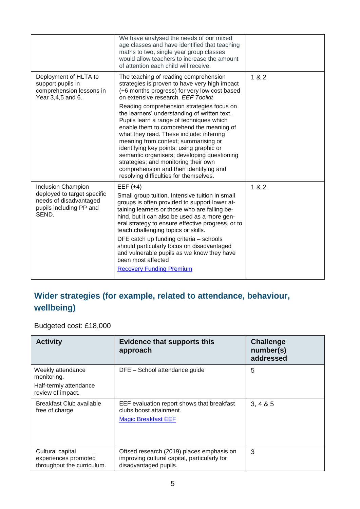|                                                                                                                        | We have analysed the needs of our mixed<br>age classes and have identified that teaching<br>maths to two, single year group classes<br>would allow teachers to increase the amount<br>of attention each child will receive.                                                                                                                                                                                                                                                                                 |     |
|------------------------------------------------------------------------------------------------------------------------|-------------------------------------------------------------------------------------------------------------------------------------------------------------------------------------------------------------------------------------------------------------------------------------------------------------------------------------------------------------------------------------------------------------------------------------------------------------------------------------------------------------|-----|
| Deployment of HLTA to<br>support pupils in<br>comprehension lessons in<br>Year 3,4,5 and 6.                            | The teaching of reading comprehension<br>strategies is proven to have very high impact<br>(+6 months progress) for very low cost based<br>on extensive research. EEF Toolkit                                                                                                                                                                                                                                                                                                                                | 182 |
|                                                                                                                        | Reading comprehension strategies focus on<br>the learners' understanding of written text.<br>Pupils learn a range of techniques which<br>enable them to comprehend the meaning of<br>what they read. These include: inferring<br>meaning from context; summarising or<br>identifying key points; using graphic or<br>semantic organisers; developing questioning<br>strategies; and monitoring their own<br>comprehension and then identifying and<br>resolving difficulties for themselves.                |     |
| <b>Inclusion Champion</b><br>deployed to target specific<br>needs of disadvantaged<br>pupils including PP and<br>SEND. | $EEF (+4)$<br>Small group tuition. Intensive tuition in small<br>groups is often provided to support lower at-<br>taining learners or those who are falling be-<br>hind, but it can also be used as a more gen-<br>eral strategy to ensure effective progress, or to<br>teach challenging topics or skills.<br>DFE catch up funding criteria - schools<br>should particularly focus on disadvantaged<br>and vulnerable pupils as we know they have<br>been most affected<br><b>Recovery Funding Premium</b> | 182 |

## **Wider strategies (for example, related to attendance, behaviour, wellbeing)**

#### Budgeted cost: £18,000

| <b>Activity</b>                                                                 | <b>Evidence that supports this</b><br>approach                                                                     | <b>Challenge</b><br>number(s)<br>addressed |
|---------------------------------------------------------------------------------|--------------------------------------------------------------------------------------------------------------------|--------------------------------------------|
| Weekly attendance<br>monitoring.<br>Half-termly attendance<br>review of impact. | DFE - School attendance guide                                                                                      | 5                                          |
| Breakfast Club available<br>free of charge                                      | EEF evaluation report shows that breakfast<br>clubs boost attainment.<br><b>Magic Breakfast EEF</b>                | 3, 4 & 5                                   |
| Cultural capital<br>experiences promoted<br>throughout the curriculum.          | Oftsed research (2019) places emphasis on<br>improving cultural capital, particularly for<br>disadvantaged pupils. | 3                                          |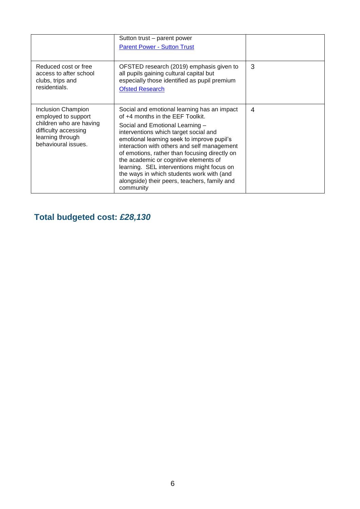|                                                                                                                                                | Sutton trust – parent power<br><b>Parent Power - Sutton Trust</b>                                                                                                                                                                                                                                                                                                                                                                                                                                          |   |
|------------------------------------------------------------------------------------------------------------------------------------------------|------------------------------------------------------------------------------------------------------------------------------------------------------------------------------------------------------------------------------------------------------------------------------------------------------------------------------------------------------------------------------------------------------------------------------------------------------------------------------------------------------------|---|
| Reduced cost or free<br>access to after school<br>clubs, trips and<br>residentials.                                                            | OFSTED research (2019) emphasis given to<br>all pupils gaining cultural capital but<br>especially those identified as pupil premium<br><b>Ofsted Research</b>                                                                                                                                                                                                                                                                                                                                              | 3 |
| <b>Inclusion Champion</b><br>employed to support<br>children who are having<br>difficulty accessing<br>learning through<br>behavioural issues. | Social and emotional learning has an impact<br>of +4 months in the EEF Toolkit.<br>Social and Emotional Learning -<br>interventions which target social and<br>emotional learning seek to improve pupil's<br>interaction with others and self management<br>of emotions, rather than focusing directly on<br>the academic or cognitive elements of<br>learning. SEL interventions might focus on<br>the ways in which students work with (and<br>alongside) their peers, teachers, family and<br>community | 4 |

## **Total budgeted cost:** *£28,130*